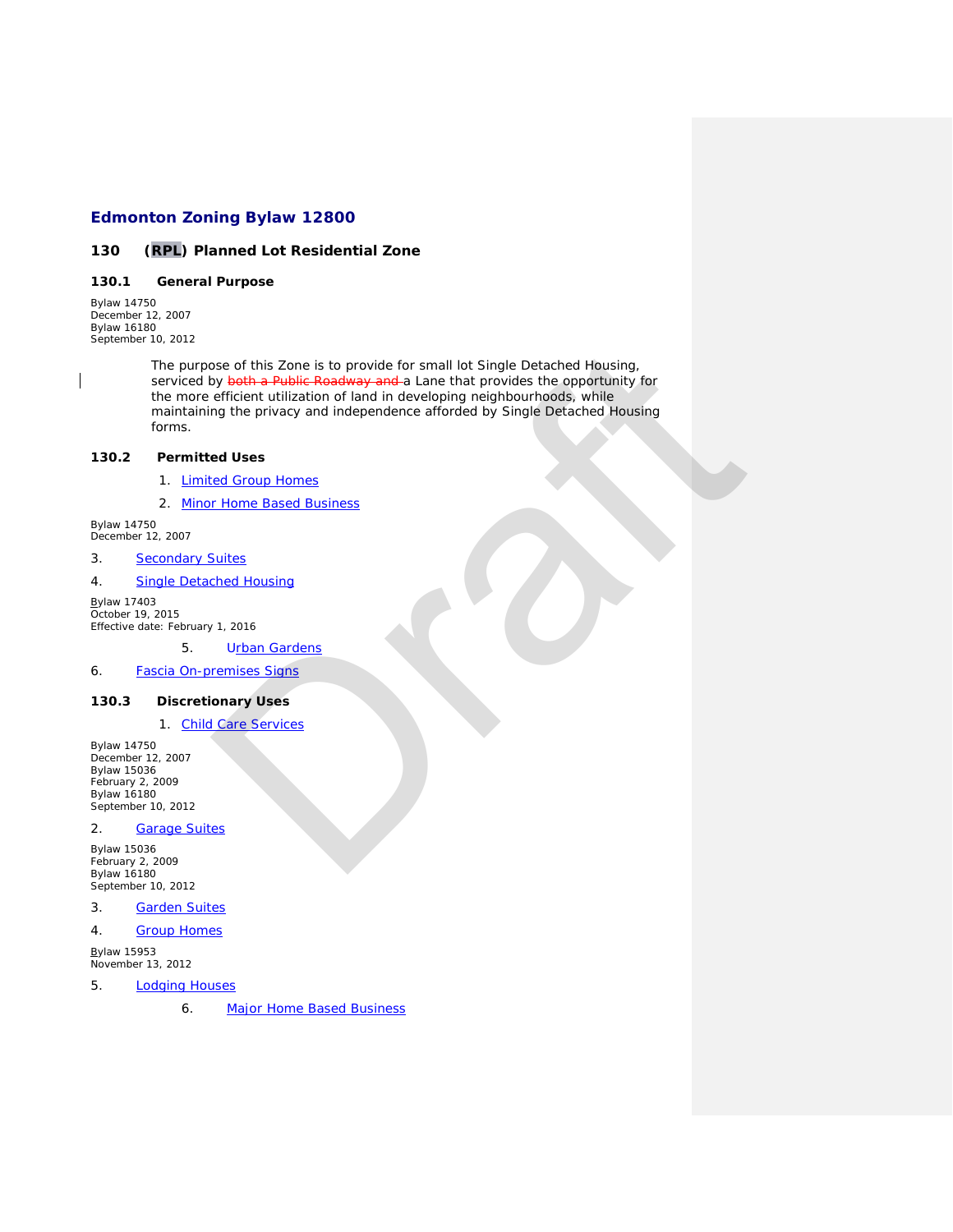# **Edmonton Zoning Bylaw 12800**

### *130 (RPL) Planned Lot Residential Zone*

## **130.1 General Purpose**

*Bylaw 14750 December 12, 2007 Bylaw 16180 September 10, 2012*

The purpose of this Zone is to provide for small lot Single Detached Housing, serviced by both a Public Roadway and a Lane that provides the opportunity for the more efficient utilization of land in developing neighbourhoods, while maintaining the privacy and independence afforded by Single Detached Housing forms. se of this Zone is to provide for small lot Single [D](http://webdocs.edmonton.ca/InfraPlan/zoningbylaw/ZoningBylaw/Part1/Interpretive/7.8(18)_Urban_Gardens.htm)etached Housing,<br>by <del>both a Public Roadway and</del> a Lane that provides the opportunity for<br>efficient utilization of land in developing neighbourhoods, while<br>my the privacy

# **130.2 Permitted Uses**

- 1. Limited Group Homes
- 2. Minor Home Based Business

*Bylaw 14750 December 12, 2007*

## 3. [Secondary Suites](javascript:void(0);)

4. Single Detached Housing

*Bylaw 17403 October 19, 2015 Effective date: February 1, 2016*

5. Urban Gardens

6. Fascia On-premises Signs

### **130.3 Discretionary Uses**

1. Child Care Services

*Bylaw 14750 December 12, 2007 Bylaw 15036 February 2, 2009 Bylaw 16180 September 10, 2012*

#### 2. [Garage Suites](javascript:void(0);)

*Bylaw 15036 February 2, 2009 Bylaw 16180 September 10, 2012*

3. [Garden Suites](javascript:void(0);)

4. [Group Homes](javascript:void(0);)

*Bylaw 15953 November 13, 2012*

- 5. [Lodging Houses](javascript:void(0);)
	- 6. [Major Home Based Business](javascript:void(0);)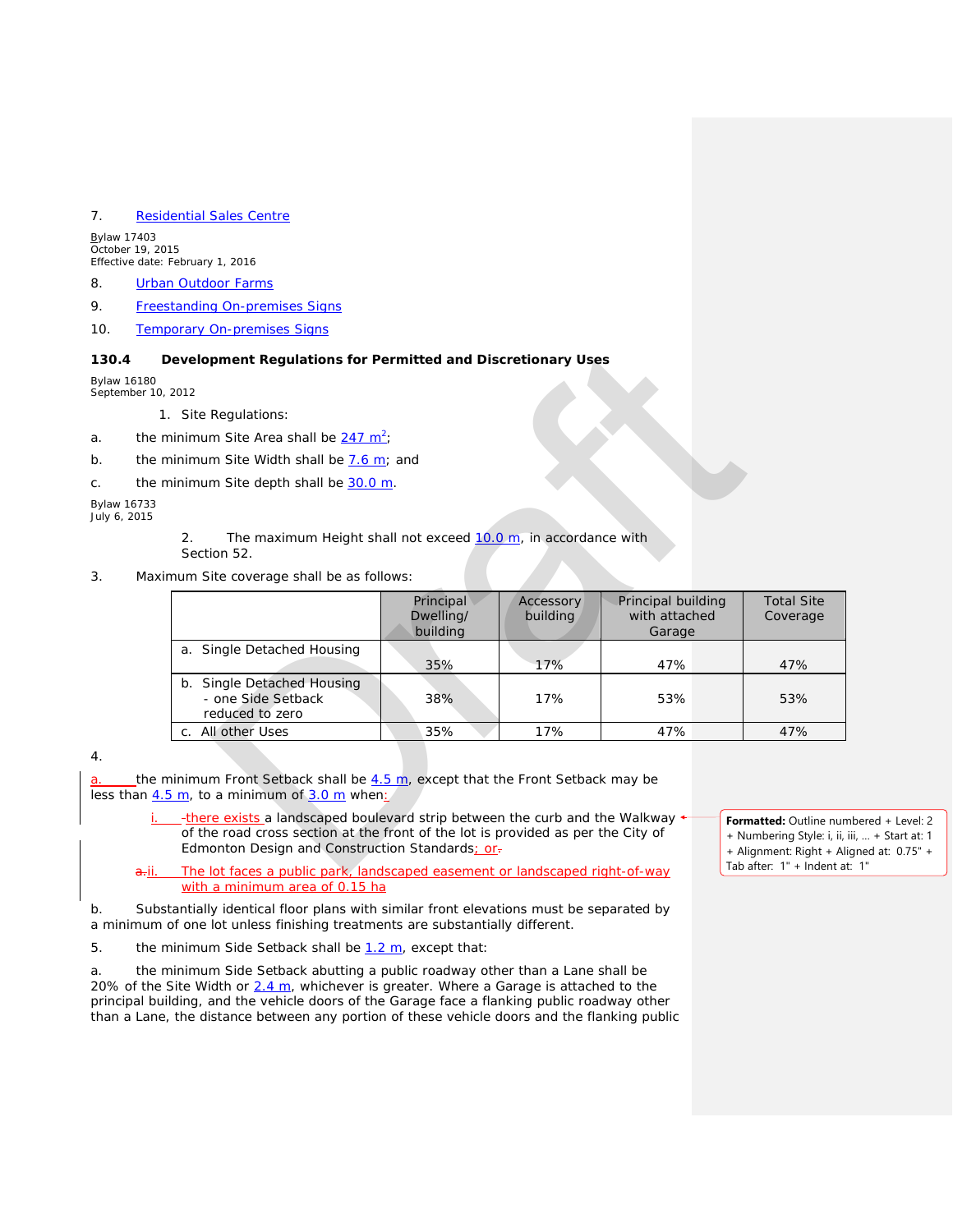### 7. [Residential Sales Centre](javascript:void(0);)

*Bylaw 17403 October 19, 2015 Effective date: February 1, 2016*

- 8. [Urban Outdoor Farms](javascript:void(0);)
- 9. [Freestanding On-premises Signs](javascript:void(0);)
- 10. [Temporary On-premises Signs](javascript:void(0);)

#### **130.4 Development Regulations for Permitted and Discretionary Uses**

*Bylaw 16180 September 10, 2012*

1. Site Regulations:

- a. the minimum Site Area shall be  $\frac{247 \text{ m}^2}{ }$
- b. the minimum Site Width shall be 7.6 m; and
- c. the minimum Site depth shall be  $30.0 \text{ m}$ .

*Bylaw 16733 July 6, 2015*

- Section 52.
- 3. Maximum Site coverage shall be as follows:

| Principal<br>Dwelling/ | Accessory<br>building                                                                                                                                                                                                               | Principal building<br><b>Total Site</b><br>with attached<br>Coverage<br>Garage |                                                                                                                                                                                                                                                                                                                                                                                                 |
|------------------------|-------------------------------------------------------------------------------------------------------------------------------------------------------------------------------------------------------------------------------------|--------------------------------------------------------------------------------|-------------------------------------------------------------------------------------------------------------------------------------------------------------------------------------------------------------------------------------------------------------------------------------------------------------------------------------------------------------------------------------------------|
| 35%                    | 17%                                                                                                                                                                                                                                 | 47%                                                                            | 47%                                                                                                                                                                                                                                                                                                                                                                                             |
| 38%                    | 17%                                                                                                                                                                                                                                 | 53%                                                                            | 53%                                                                                                                                                                                                                                                                                                                                                                                             |
| 35%                    | 17%                                                                                                                                                                                                                                 | 47%                                                                            | 47%                                                                                                                                                                                                                                                                                                                                                                                             |
|                        |                                                                                                                                                                                                                                     |                                                                                | Formatted: Outline nu<br>+ Numbering Style: i, ii<br>+ Alignment: Right + A<br>Tab after: 1" + Indent a                                                                                                                                                                                                                                                                                         |
|                        | minimum Site Area shall be 247 m <sup>2</sup> ;<br>minimum Site Width shall be <b>7.6 m</b> ; and<br>minimum Site depth shall be 30.0 m.<br>imum Site coverage shall be as follows:<br>building<br>5 m, to a minimum of 3.0 m when: | Edmonton Design and Construction Standards; or-                                | The maximum Height shall not exceed 10.0 m, in accordance with<br>minimum Front Setback shall be 4.5 m, except that the Front Setback may be<br>-there exists a landscaped boulevard strip between the curb and the Walkway +<br>of the road cross section at the front of the lot is provided as per the City of<br>The lot faces a public park landscaped easement or landscaped right-of-way |

4.

a. the minimum Front Setback shall be  $4.5$  m, except that the Front Setback may be less than  $4.5$  m, to a minimum of  $3.0$  m when:

- -there exists a landscaped boulevard strip between the curb and the Walkway of the road cross section at the front of the lot is provided as per the City of Edmonton Design and Construction Standards; or-
- a.i. The lot faces a public park, landscaped easement or landscaped right-of-way with a minimum area of 0.15 ha

b. Substantially identical floor plans with similar front elevations must be separated by a minimum of one lot unless finishing treatments are substantially different.

5. the minimum Side Setback shall be  $1.2$  m, except that:

a. the minimum Side Setback abutting a public roadway other than a Lane shall be 20% of the Site Width or  $2.4$  m, whichever is greater. Where a Garage is attached to the principal building, and the vehicle doors of the Garage face a flanking public roadway other than a Lane, the distance between any portion of these vehicle doors and the flanking public

**Formatted:** Outline numbered + Level: 2 + Numbering Style: i, ii, iii, … + Start at: 1 + Alignment: Right + Aligned at: 0.75" + Tab after: 1" + Indent at: 1"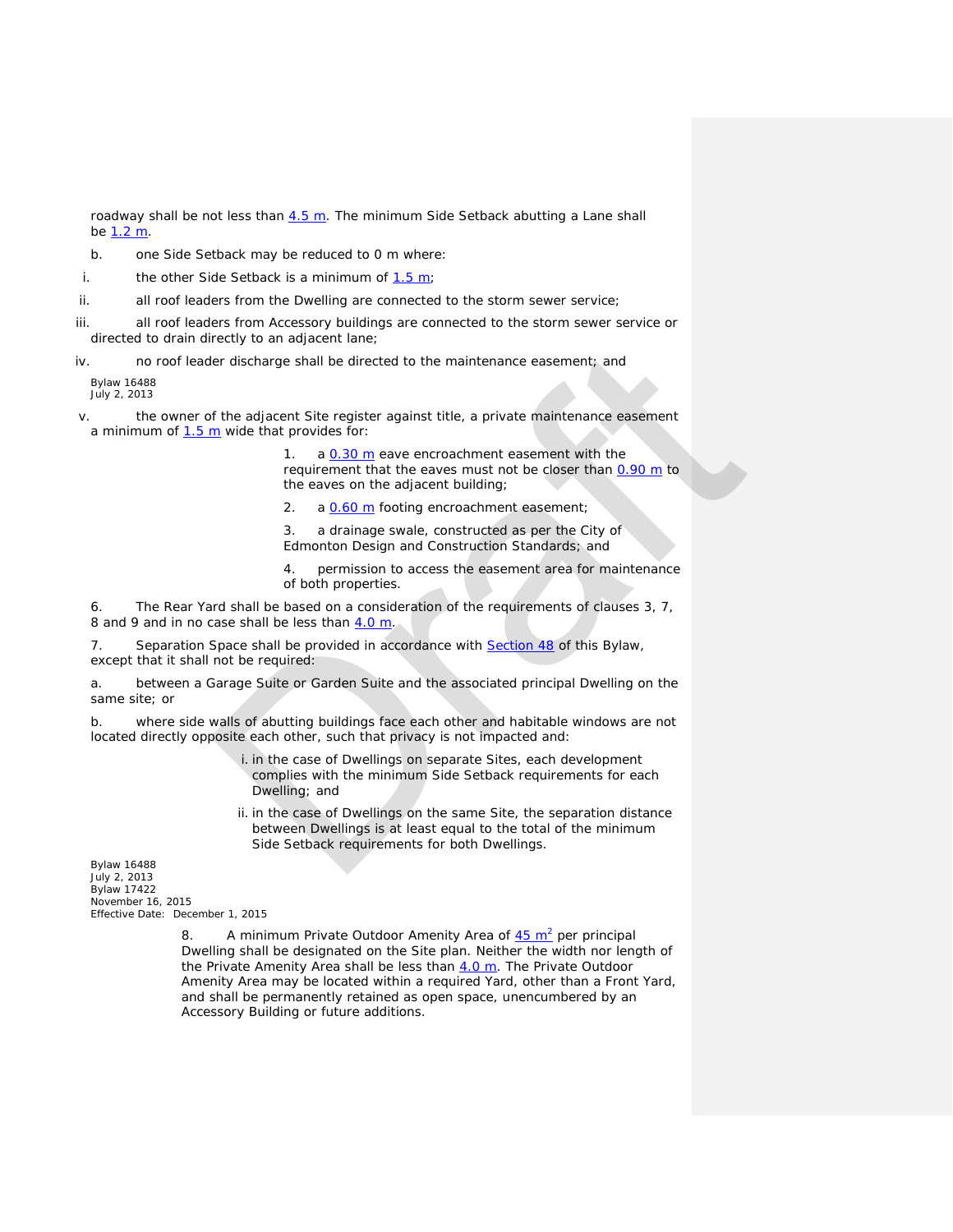roadway shall be not less than  $4.5$  m. The minimum Side Setback abutting a Lane shall be [1.2 m.](javascript:void(0);)

- b. one Side Setback may be reduced to 0 m where:
- i. the other Side Setback is a minimum of  $1.5 m$ ;
- ii. all roof leaders from the Dwelling are connected to the storm sewer service;
- iii. all roof leaders from Accessory buildings are connected to the storm sewer service or directed to drain directly to an adjacent lane;
- iv. no roof leader discharge shall be directed to the maintenance easement; and

*Bylaw 16488 July 2, 2013*

v. the owner of the adjacent Site register against title, a private maintenance easement a minimum of  $1.5$  m wide that provides for:

> 1. a  $0.30$  m eave encroachment easement with the requirement that the eaves must not be closer than 0.90 m to the eaves on the adjacent building;

2. a 0.60 m footing encroachment easement;

3. a drainage swale, constructed as per the City of Edmonton Design and Construction Standards; and

4. permission to access the easement area for maintenance of both properties.

6. The Rear Yard shall be based on a consideration of the requirements of clauses 3, 7, 8 and 9 and in no case shall be less than  $4.0$  m.

7. Separation Space shall be provided in accordance with Section 48 of this Bylaw, except that it shall not be required:

a. between a Garage Suite or Garden Suite and the associated principal Dwelling on the same site; or

b. where side walls of abutting buildings face each other and habitable windows are not located directly opposite each other, such that privacy is not impacted and:

> i. in the case of Dwellings on separate Sites, each development complies with the minimum Side Setback requirements for each Dwelling; and

ii. in the case of Dwellings on the same Site, the separation distance between Dwellings is at least equal to the total of the minimum Side Setback requirements for both Dwellings. ectry to an ag[ra](http://webdocs.edmonton.ca/InfraPlan/zoningbylaw/ZoningBylaw/Part1/Development/48__Separation_Space.htm)es the method to the maintenance easement; and<br>
and the diacent Site register against title, a private maintenance easement<br>
muide that provides for:<br>
1. a 0.20 m eave encroachment easement with the<br>
requir

*Bylaw 16488 July 2, 2013 Bylaw 17422 November 16, 2015 Effective Date: December 1, 2015*

> 8. A minimum Private Outdoor Amenity Area of  $45 \text{ m}^2$  per principal Dwelling shall be designated on the Site plan. Neither the width nor length of the Private Amenity Area shall be less than  $4.0$  m. The Private Outdoor Amenity Area may be located within a required Yard, other than a Front Yard, and shall be permanently retained as open space, unencumbered by an Accessory Building or future additions.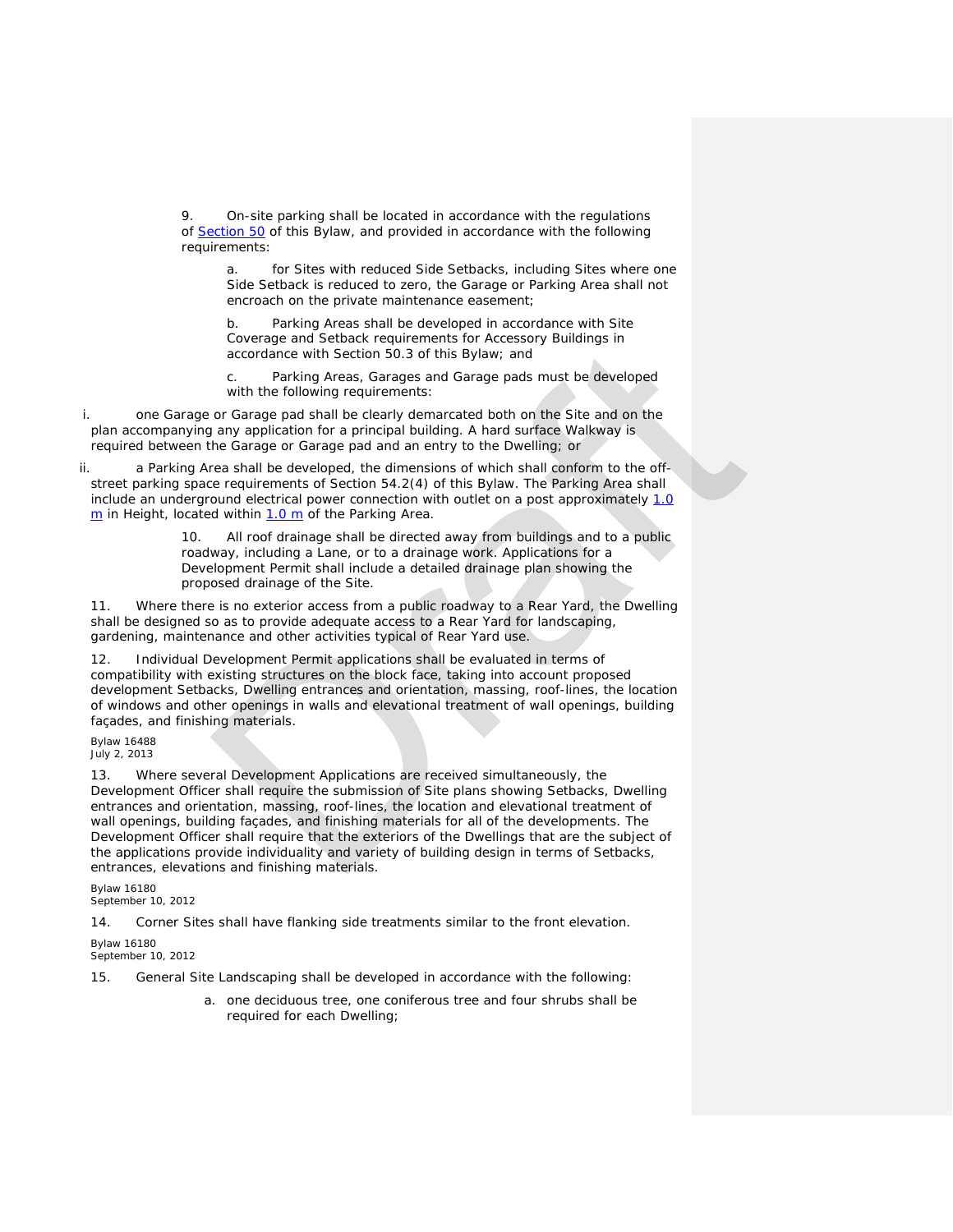9. On-site parking shall be located in accordance with the regulations of [Section 50](http://webdocs.edmonton.ca/InfraPlan/zoningbylaw/ZoningBylaw/Part1/Development/50__Accessory_Uses_and_Buildings.htm) of this Bylaw, and provided in accordance with the following requirements:

for Sites with reduced Side Setbacks, including Sites where one Side Setback is reduced to zero, the Garage or Parking Area shall not encroach on the private maintenance easement;

b. Parking Areas shall be developed in accordance with Site Coverage and Setback requirements for Accessory Buildings in accordance with Section 50.3 of this Bylaw; and

Parking Areas, Garages and Garage pads must be developed with the following requirements:

i. one Garage or Garage pad shall be clearly demarcated both on the Site and on the plan accompanying any application for a principal building. A hard surface Walkway is required between the Garage or Garage pad and an entry to the Dwelling; or

ii. a Parking Area shall be developed, the dimensions of which shall conform to the offstreet parking space requirements of Section 54.2(4) of this Bylaw. The Parking Area shall include an underground electrical power connection with outlet on a post approximately 1.0 [m](javascript:void(0);) in Height, located within 1.0 m of the Parking Area.

> 10. All roof drainage shall be directed away from buildings and to a public roadway, including a Lane, or to a drainage work. Applications for a Development Permit shall include a detailed drainage plan showing the proposed drainage of the Site.

11. Where there is no exterior access from a public roadway to a Rear Yard, the Dwelling shall be designed so as to provide adequate access to a Rear Yard for landscaping, gardening, maintenance and other activities typical of Rear Yard use.

12. Individual Development Permit applications shall be evaluated in terms of compatibility with existing structures on the block face, taking into account proposed development Setbacks, Dwelling entrances and orientation, massing, roof-lines, the location of windows and other openings in walls and elevational treatment of wall openings, building façades, and finishing materials.

*Bylaw 16488 July 2, 2013*

13. Where several Development Applications are received simultaneously, the Development Officer shall require the submission of Site plans showing Setbacks, Dwelling entrances and orientation, massing, roof-lines, the location and elevational treatment of wall openings, building façades, and finishing materials for all of the developments. The Development Officer shall require that the exteriors of the Dwellings that are the subject of the applications provide individuality and variety of building design in terms of Setbacks, entrances, elevations and finishing materials. cocordance with Section 50.3 of this Bylaw; and<br>
c. Parking Areas, Garages and Garage pads must be developed<br>
c. Parking Areas, Garages and Garage pads must be developed<br>
with the following requirements:<br>
or Garage pad sha

*Bylaw 16180 September 10, 2012*

14. Corner Sites shall have flanking side treatments similar to the front elevation.

*Bylaw 16180*

*September 10, 2012*

15. General Site Landscaping shall be developed in accordance with the following:

a. one deciduous tree, one coniferous tree and four shrubs shall be required for each Dwelling;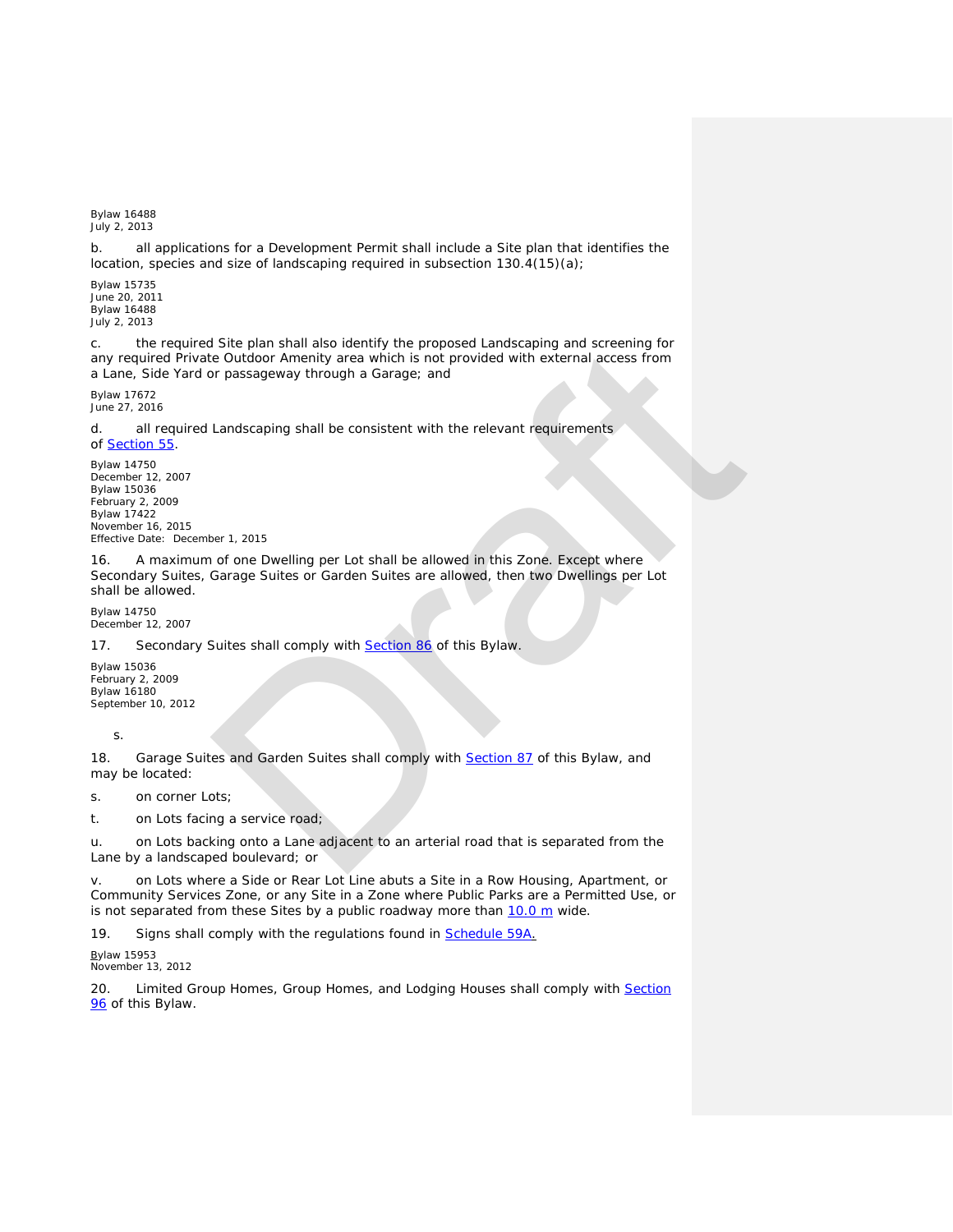*Bylaw 16488 July 2, 2013*

b. all applications for a Development Permit shall include a Site plan that identifies the location, species and size of landscaping required in subsection 130.4(15)(a);

*Bylaw 15735 June 20, 2011 Bylaw 16488 July 2, 2013*

c. the required Site plan shall also identify the proposed Landscaping and screening for any required Private Outdoor Amenity area which is not provided with external access from a Lane, Side Yard or passageway through a Garage; and

*Bylaw 17672 June 27, 2016*

d. all required Landscaping shall be consistent with the relevant requirements of [Section](http://webdocs.edmonton.ca/InfraPlan/zoningbylaw/ZoningBylaw/Part1/Development/55__Landscaping.htm) 55.

*Bylaw 14750 December 12, 2007 Bylaw 15036 February 2, 2009 Bylaw 17422 November 16, 2015 Effective Date: December 1, 2015*

16. A maximum of one Dwelling per Lot shall be allowed in this Zone. Except where Secondary Suites, Garage Suites or Garden Suites are allowed, then two Dwellings per Lot shall be allowed. Stile plans shall also dentity the proposed Landscaping and screening for<br>e Outdoor Amenity area which is not provided with external access from<br>provided with external access from<br>provided with external access from<br>tandsca

*Bylaw 14750 December 12, 2007*

17. Secondary Suites shall comply with **Section 86** of this Bylaw.

*Bylaw 15036 February 2, 2009 Bylaw 16180 September 10, 2012*

s.

18. Garage Suites and Garden Suites shall comply with **Section 87** of this Bylaw, and may be located:

s. on corner Lots;

t. on Lots facing a service road;

u. on Lots backing onto a Lane adjacent to an arterial road that is separated from the Lane by a landscaped boulevard; or

v. on Lots where a Side or Rear Lot Line abuts a Site in a Row Housing, Apartment, or Community Services Zone, or any Site in a Zone where Public Parks are a Permitted Use, or is not separated from these Sites by a public roadway more than  $10.0 \text{ m}$  wide.

19. Signs shall comply with the regulations found in **[Schedule](http://webdocs.edmonton.ca/InfraPlan/zoningbylaw/ZoningBylaw/Schedule/Schedule_59A.htm) 59A**.

*Bylaw 15953*

*November 13, 2012*

20. Limited Group Homes, Group Homes, and Lodging Houses shall comply with Section [96](http://webdocs.edmonton.ca/InfraPlan/zoningbylaw/ZoningBylaw/Part1/Special_Land/96._Fraternity_and_Sorority_Housing,_Limited_Group_Homes,_Group_Homes,_and_Lodging_Houses_Thresholds.htm) of this Bylaw.